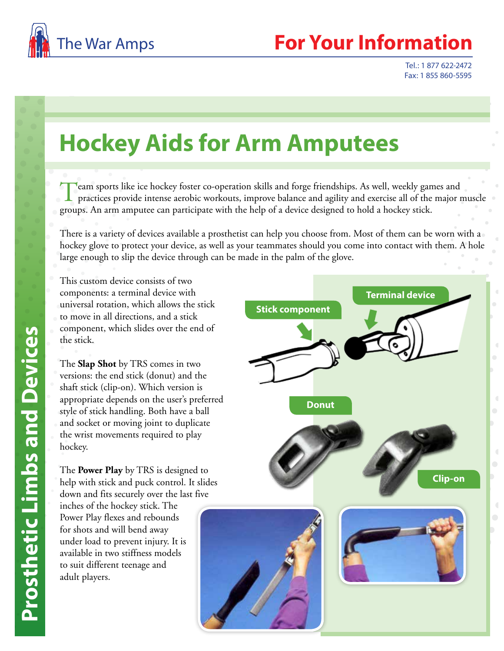

## **Your Information**

Tel.: 1 877 622-2472 Fax: 1 855 860-5595

## **Hockey Aids for Arm Amputees**

Team sports like ice hockey foster co-operation skills and forge friendships. As well, weekly games and practices provide intense aerobic workouts, improve balance and agility and exercise all of the major muscle groups. An arm amputee can participate with the help of a device designed to hold a hockey stick.

There is a variety of devices available a prosthetist can help you choose from. Most of them can be worn with a hockey glove to protect your device, as well as your teammates should you come into contact with them. A hole large enough to slip the device through can be made in the palm of the glove.

This custom device consists of two components: a terminal device with universal rotation, which allows the stick to move in all directions, and a stick component, which slides over the end of the stick.

The **Slap Shot** by TRS comes in two versions: the end stick (donut) and the shaft stick (clip-on). Which version is appropriate depends on the user's preferred style of stick handling. Both have a ball and socket or moving joint to duplicate the wrist movements required to play hockey.

The **Power Play** by TRS is designed to help with stick and puck control. It slides down and fits securely over the last five

inches of the hockey stick. The Power Play flexes and rebounds for shots and will bend away under load to prevent injury. It is available in two stiffness models to suit different teenage and adult players.

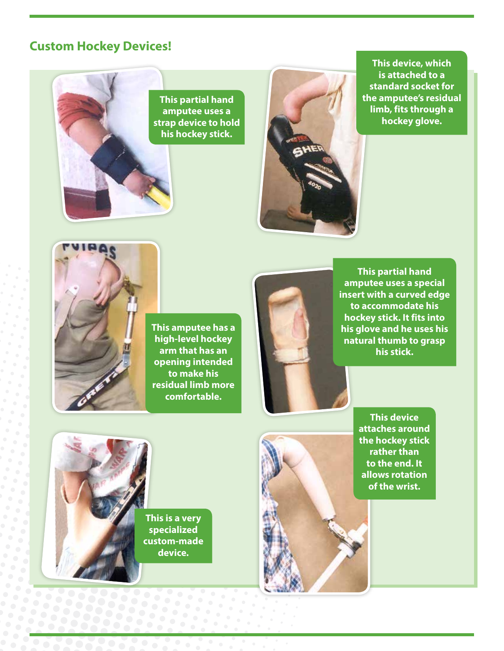## **Custom Hockey Devices!**





**This device, which is attached to a standard socket for the amputee's residual limb, fits through a hockey glove.**



**This amputee has a high-level hockey arm that has an opening intended to make his residual limb more comfortable.**



**This partial hand amputee uses a special insert with a curved edge to accommodate his hockey stick. It fits into his glove and he uses his natural thumb to grasp his stick.**



588888

333333

**This is a very specialized custom-made device.**



**This device attaches around the hockey stick rather than to the end. It allows rotation of the wrist.**